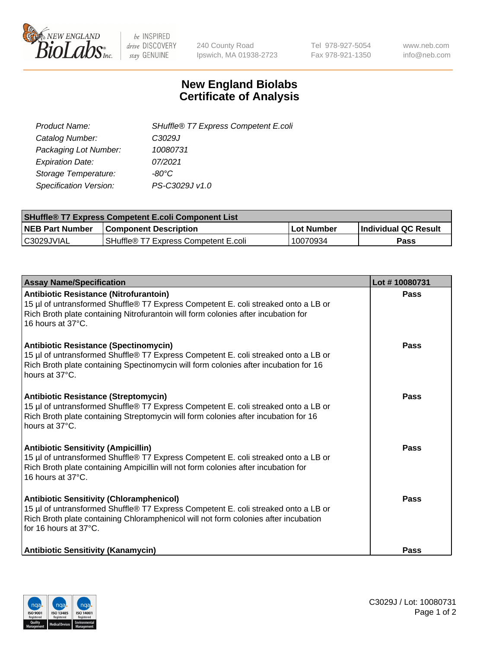

 $be$  INSPIRED drive DISCOVERY stay GENUINE

240 County Road Ipswich, MA 01938-2723 Tel 978-927-5054 Fax 978-921-1350 www.neb.com info@neb.com

## **New England Biolabs Certificate of Analysis**

| SHuffle® T7 Express Competent E.coli |
|--------------------------------------|
| C3029J                               |
| 10080731                             |
| 07/2021                              |
| -80°C.                               |
| PS-C3029J v1.0                       |
|                                      |

| <b>SHuffle<sup>®</sup> T7 Express Competent E.coli Component List</b> |                                      |            |                             |  |
|-----------------------------------------------------------------------|--------------------------------------|------------|-----------------------------|--|
| <b>NEB Part Number</b>                                                | <b>Component Description</b>         | Lot Number | <b>Individual QC Result</b> |  |
| C3029JVIAL                                                            | SHuffle® T7 Express Competent E.coli | 10070934   | <b>Pass</b>                 |  |

| <b>Assay Name/Specification</b>                                                                                                                                                                                                                       | Lot #10080731 |
|-------------------------------------------------------------------------------------------------------------------------------------------------------------------------------------------------------------------------------------------------------|---------------|
| Antibiotic Resistance (Nitrofurantoin)<br>15 µl of untransformed Shuffle® T7 Express Competent E. coli streaked onto a LB or<br>Rich Broth plate containing Nitrofurantoin will form colonies after incubation for<br>16 hours at 37°C.               | Pass          |
| <b>Antibiotic Resistance (Spectinomycin)</b><br>15 µl of untransformed Shuffle® T7 Express Competent E. coli streaked onto a LB or<br>Rich Broth plate containing Spectinomycin will form colonies after incubation for 16<br>hours at 37°C.          | Pass          |
| Antibiotic Resistance (Streptomycin)<br>15 µl of untransformed Shuffle® T7 Express Competent E. coli streaked onto a LB or<br>Rich Broth plate containing Streptomycin will form colonies after incubation for 16<br>hours at 37°C.                   | Pass          |
| <b>Antibiotic Sensitivity (Ampicillin)</b><br>15 µl of untransformed Shuffle® T7 Express Competent E. coli streaked onto a LB or<br>Rich Broth plate containing Ampicillin will not form colonies after incubation for<br>16 hours at 37°C.           | Pass          |
| <b>Antibiotic Sensitivity (Chloramphenicol)</b><br>15 µl of untransformed Shuffle® T7 Express Competent E. coli streaked onto a LB or<br>Rich Broth plate containing Chloramphenicol will not form colonies after incubation<br>for 16 hours at 37°C. | Pass          |
| <b>Antibiotic Sensitivity (Kanamycin)</b>                                                                                                                                                                                                             | Pass          |